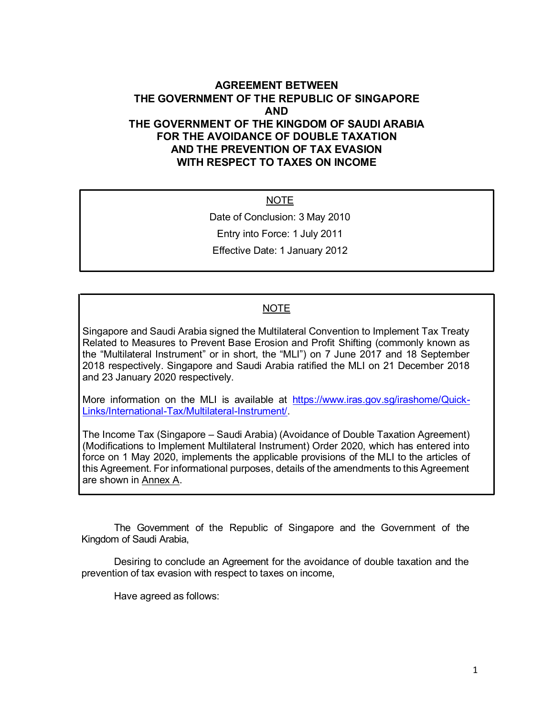## **AGREEMENT BETWEEN THE GOVERNMENT OF THE REPUBLIC OF SINGAPORE AND THE GOVERNMENT OF THE KINGDOM OF SAUDI ARABIA FOR THE AVOIDANCE OF DOUBLE TAXATION AND THE PREVENTION OF TAX EVASION WITH RESPECT TO TAXES ON INCOME**

NOTE

Date of Conclusion: 3 May 2010

Entry into Force: 1 July 2011

Effective Date: 1 January 2012

#### NOTE

Singapore and Saudi Arabia signed the Multilateral Convention to Implement Tax Treaty Related to Measures to Prevent Base Erosion and Profit Shifting (commonly known as the "Multilateral Instrument" or in short, the "MLI") on 7 June 2017 and 18 September 2018 respectively. Singapore and Saudi Arabia ratified the MLI on 21 December 2018 and 23 January 2020 respectively.

More information on the MLI is available at [https://www.iras.gov.sg/irashome/Quick-](https://www.iras.gov.sg/irashome/Quick-Links/International-Tax/Multilateral-Instrument/)[Links/International-Tax/Multilateral-Instrument/.](https://www.iras.gov.sg/irashome/Quick-Links/International-Tax/Multilateral-Instrument/)

The Income Tax (Singapore – Saudi Arabia) (Avoidance of Double Taxation Agreement) (Modifications to Implement Multilateral Instrument) Order 2020, which has entered into force on 1 May 2020, implements the applicable provisions of the MLI to the articles of this Agreement. For informational purposes, details of the amendments to this Agreement are shown in Annex A.

The Government of the Republic of Singapore and the Government of the Kingdom of Saudi Arabia,

Desiring to conclude an Agreement for the avoidance of double taxation and the prevention of tax evasion with respect to taxes on income,

Have agreed as follows: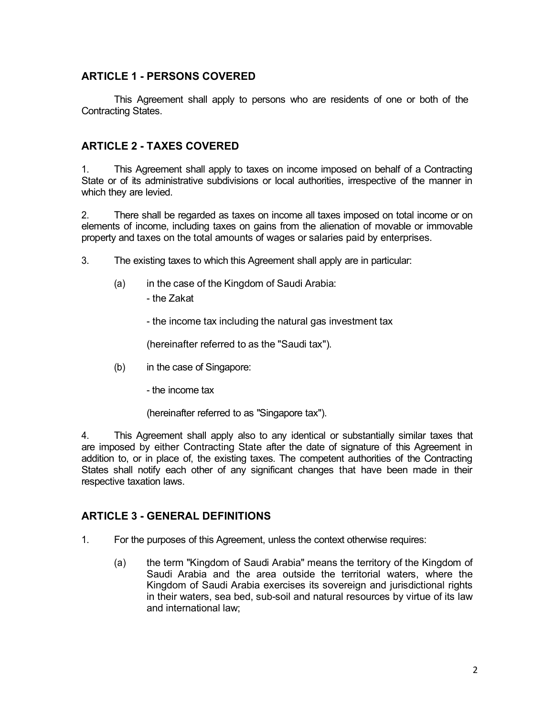# **ARTICLE 1 - PERSONS COVERED**

This Agreement shall apply to persons who are residents of one or both of the Contracting States.

# **ARTICLE 2 - TAXES COVERED**

1. This Agreement shall apply to taxes on income imposed on behalf of a Contracting State or of its administrative subdivisions or local authorities, irrespective of the manner in which they are levied.

2. There shall be regarded as taxes on income all taxes imposed on total income or on elements of income, including taxes on gains from the alienation of movable or immovable property and taxes on the total amounts of wages or salaries paid by enterprises.

- 3. The existing taxes to which this Agreement shall apply are in particular:
	- (a) in the case of the Kingdom of Saudi Arabia:
		- the Zakat
		- the income tax including the natural gas investment tax

(hereinafter referred to as the "Saudi tax").

- (b) in the case of Singapore:
	- the income tax

(hereinafter referred to as "Singapore tax").

4. This Agreement shall apply also to any identical or substantially similar taxes that are imposed by either Contracting State after the date of signature of this Agreement in addition to, or in place of, the existing taxes. The competent authorities of the Contracting States shall notify each other of any significant changes that have been made in their respective taxation laws.

#### **ARTICLE 3 - GENERAL DEFINITIONS**

- 1. For the purposes of this Agreement, unless the context otherwise requires:
	- (a) the term "Kingdom of Saudi Arabia" means the territory of the Kingdom of Saudi Arabia and the area outside the territorial waters, where the Kingdom of Saudi Arabia exercises its sovereign and jurisdictional rights in their waters, sea bed, sub-soil and natural resources by virtue of its law and international law;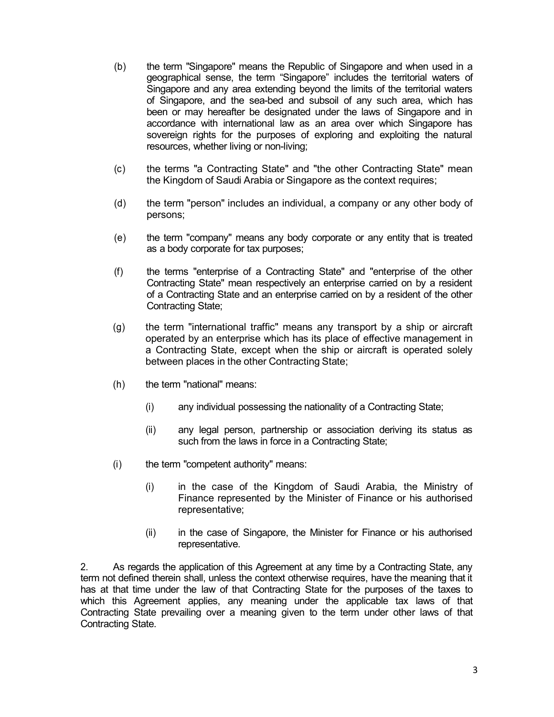- (b) the term "Singapore" means the Republic of Singapore and when used in a geographical sense, the term "Singapore" includes the territorial waters of Singapore and any area extending beyond the limits of the territorial waters of Singapore, and the sea-bed and subsoil of any such area, which has been or may hereafter be designated under the laws of Singapore and in accordance with international law as an area over which Singapore has sovereign rights for the purposes of exploring and exploiting the natural resources, whether living or non-living;
- (c) the terms "a Contracting State" and "the other Contracting State" mean the Kingdom of Saudi Arabia or Singapore as the context requires;
- (d) the term "person" includes an individual, a company or any other body of persons;
- (e) the term "company" means any body corporate or any entity that is treated as a body corporate for tax purposes;
- (f) the terms "enterprise of a Contracting State" and "enterprise of the other Contracting State" mean respectively an enterprise carried on by a resident of a Contracting State and an enterprise carried on by a resident of the other Contracting State;
- (g) the term "international traffic" means any transport by a ship or aircraft operated by an enterprise which has its place of effective management in a Contracting State, except when the ship or aircraft is operated solely between places in the other Contracting State;
- (h) the term "national" means:
	- (i) any individual possessing the nationality of a Contracting State;
	- (ii) any legal person, partnership or association deriving its status as such from the laws in force in a Contracting State;
- (i) the term "competent authority" means:
	- (i) in the case of the Kingdom of Saudi Arabia, the Ministry of Finance represented by the Minister of Finance or his authorised representative;
	- (ii) in the case of Singapore, the Minister for Finance or his authorised representative.

2. As regards the application of this Agreement at any time by a Contracting State, any term not defined therein shall, unless the context otherwise requires, have the meaning that it has at that time under the law of that Contracting State for the purposes of the taxes to which this Agreement applies, any meaning under the applicable tax laws of that Contracting State prevailing over a meaning given to the term under other laws of that Contracting State.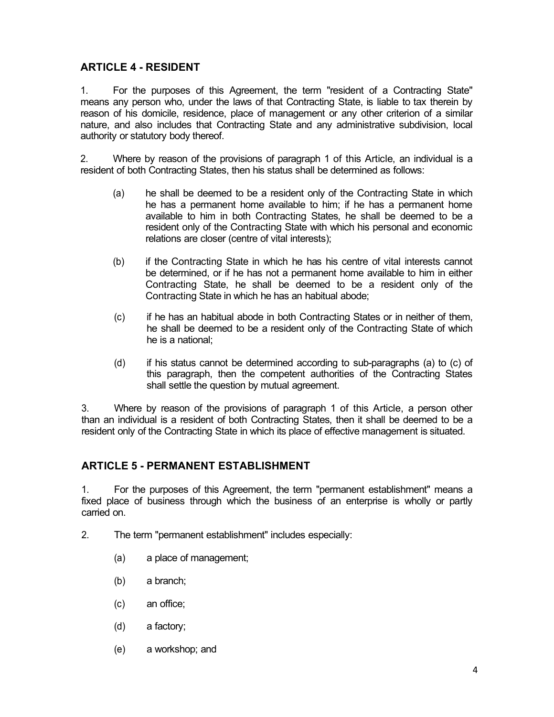# **ARTICLE 4 - RESIDENT**

1. For the purposes of this Agreement, the term "resident of a Contracting State" means any person who, under the laws of that Contracting State, is liable to tax therein by reason of his domicile, residence, place of management or any other criterion of a similar nature, and also includes that Contracting State and any administrative subdivision, local authority or statutory body thereof.

2. Where by reason of the provisions of paragraph 1 of this Article, an individual is a resident of both Contracting States, then his status shall be determined as follows:

- (a) he shall be deemed to be a resident only of the Contracting State in which he has a permanent home available to him; if he has a permanent home available to him in both Contracting States, he shall be deemed to be a resident only of the Contracting State with which his personal and economic relations are closer (centre of vital interests);
- (b) if the Contracting State in which he has his centre of vital interests cannot be determined, or if he has not a permanent home available to him in either Contracting State, he shall be deemed to be a resident only of the Contracting State in which he has an habitual abode;
- (c) if he has an habitual abode in both Contracting States or in neither of them, he shall be deemed to be a resident only of the Contracting State of which he is a national;
- (d) if his status cannot be determined according to sub-paragraphs (a) to (c) of this paragraph, then the competent authorities of the Contracting States shall settle the question by mutual agreement.

3. Where by reason of the provisions of paragraph 1 of this Article, a person other than an individual is a resident of both Contracting States, then it shall be deemed to be a resident only of the Contracting State in which its place of effective management is situated.

## **ARTICLE 5 - PERMANENT ESTABLISHMENT**

1. For the purposes of this Agreement, the term "permanent establishment" means a fixed place of business through which the business of an enterprise is wholly or partly carried on.

- 2. The term "permanent establishment" includes especially:
	- (a) a place of management;
	- (b) a branch;
	- (c) an office;
	- (d) a factory;
	- (e) a workshop; and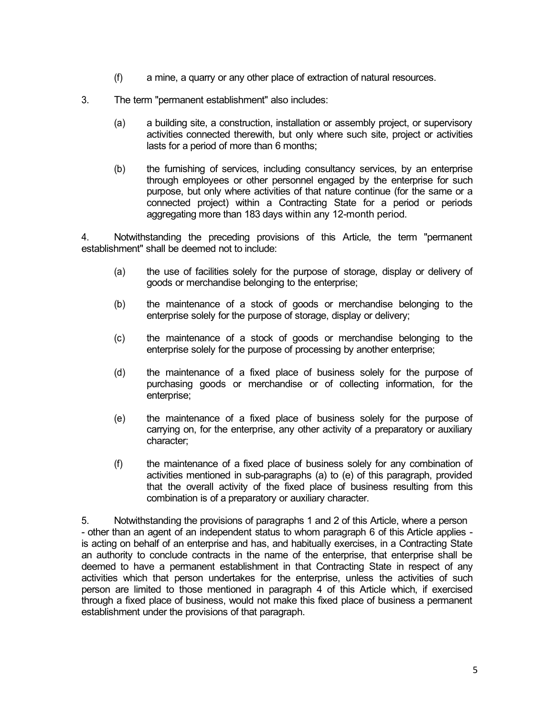- (f) a mine, a quarry or any other place of extraction of natural resources.
- 3. The term "permanent establishment" also includes:
	- (a) a building site, a construction, installation or assembly project, or supervisory activities connected therewith, but only where such site, project or activities lasts for a period of more than 6 months;
	- (b) the furnishing of services, including consultancy services, by an enterprise through employees or other personnel engaged by the enterprise for such purpose, but only where activities of that nature continue (for the same or a connected project) within a Contracting State for a period or periods aggregating more than 183 days within any 12-month period.

4. Notwithstanding the preceding provisions of this Article, the term "permanent establishment" shall be deemed not to include:

- (a) the use of facilities solely for the purpose of storage, display or delivery of goods or merchandise belonging to the enterprise;
- (b) the maintenance of a stock of goods or merchandise belonging to the enterprise solely for the purpose of storage, display or delivery;
- (c) the maintenance of a stock of goods or merchandise belonging to the enterprise solely for the purpose of processing by another enterprise;
- (d) the maintenance of a fixed place of business solely for the purpose of purchasing goods or merchandise or of collecting information, for the enterprise;
- (e) the maintenance of a fixed place of business solely for the purpose of carrying on, for the enterprise, any other activity of a preparatory or auxiliary character;
- (f) the maintenance of a fixed place of business solely for any combination of activities mentioned in sub-paragraphs (a) to (e) of this paragraph, provided that the overall activity of the fixed place of business resulting from this combination is of a preparatory or auxiliary character.

5. Notwithstanding the provisions of paragraphs 1 and 2 of this Article, where a person - other than an agent of an independent status to whom paragraph 6 of this Article applies is acting on behalf of an enterprise and has, and habitually exercises, in a Contracting State an authority to conclude contracts in the name of the enterprise, that enterprise shall be deemed to have a permanent establishment in that Contracting State in respect of any activities which that person undertakes for the enterprise, unless the activities of such person are limited to those mentioned in paragraph 4 of this Article which, if exercised through a fixed place of business, would not make this fixed place of business a permanent establishment under the provisions of that paragraph.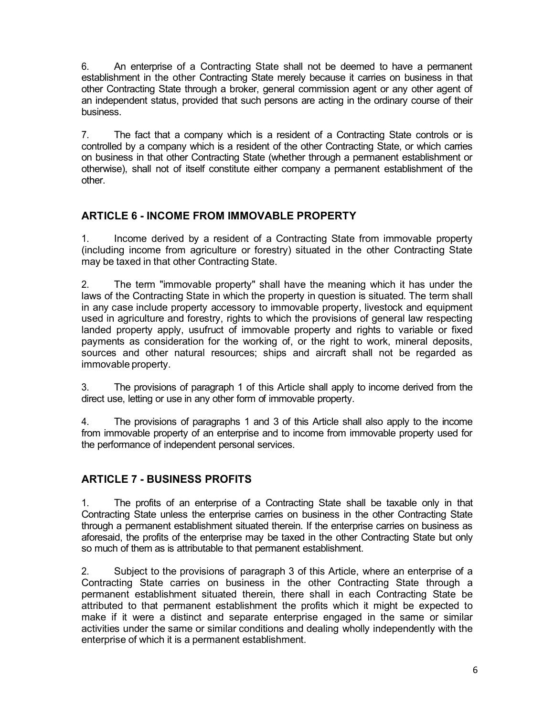6. An enterprise of a Contracting State shall not be deemed to have a permanent establishment in the other Contracting State merely because it carries on business in that other Contracting State through a broker, general commission agent or any other agent of an independent status, provided that such persons are acting in the ordinary course of their business.

7. The fact that a company which is a resident of a Contracting State controls or is controlled by a company which is a resident of the other Contracting State, or which carries on business in that other Contracting State (whether through a permanent establishment or otherwise), shall not of itself constitute either company a permanent establishment of the other.

# **ARTICLE 6 - INCOME FROM IMMOVABLE PROPERTY**

1. Income derived by a resident of a Contracting State from immovable property (including income from agriculture or forestry) situated in the other Contracting State may be taxed in that other Contracting State.

2. The term "immovable property" shall have the meaning which it has under the laws of the Contracting State in which the property in question is situated. The term shall in any case include property accessory to immovable property, livestock and equipment used in agriculture and forestry, rights to which the provisions of general law respecting landed property apply, usufruct of immovable property and rights to variable or fixed payments as consideration for the working of, or the right to work, mineral deposits, sources and other natural resources; ships and aircraft shall not be regarded as immovable property.

3. The provisions of paragraph 1 of this Article shall apply to income derived from the direct use, letting or use in any other form of immovable property.

4. The provisions of paragraphs 1 and 3 of this Article shall also apply to the income from immovable property of an enterprise and to income from immovable property used for the performance of independent personal services.

# **ARTICLE 7 - BUSINESS PROFITS**

1. The profits of an enterprise of a Contracting State shall be taxable only in that Contracting State unless the enterprise carries on business in the other Contracting State through a permanent establishment situated therein. If the enterprise carries on business as aforesaid, the profits of the enterprise may be taxed in the other Contracting State but only so much of them as is attributable to that permanent establishment.

2. Subject to the provisions of paragraph 3 of this Article, where an enterprise of a Contracting State carries on business in the other Contracting State through a permanent establishment situated therein, there shall in each Contracting State be attributed to that permanent establishment the profits which it might be expected to make if it were a distinct and separate enterprise engaged in the same or similar activities under the same or similar conditions and dealing wholly independently with the enterprise of which it is a permanent establishment.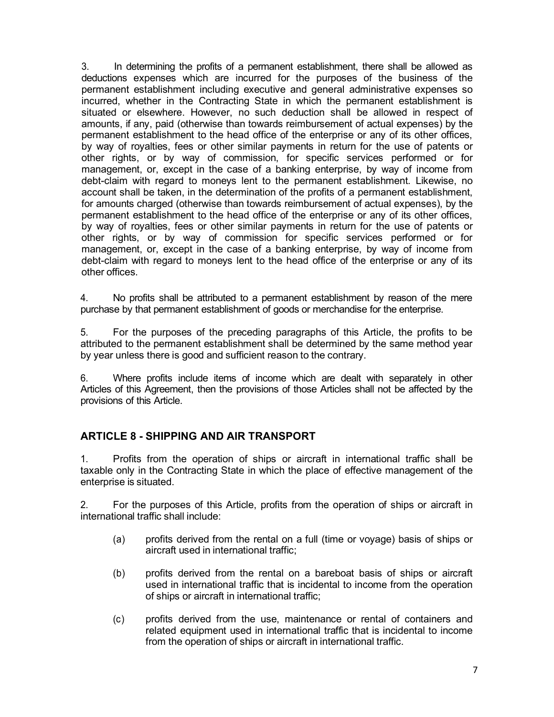3. In determining the profits of a permanent establishment, there shall be allowed as deductions expenses which are incurred for the purposes of the business of the permanent establishment including executive and general administrative expenses so incurred, whether in the Contracting State in which the permanent establishment is situated or elsewhere. However, no such deduction shall be allowed in respect of amounts, if any, paid (otherwise than towards reimbursement of actual expenses) by the permanent establishment to the head office of the enterprise or any of its other offices, by way of royalties, fees or other similar payments in return for the use of patents or other rights, or by way of commission, for specific services performed or for management, or, except in the case of a banking enterprise, by way of income from debt-claim with regard to moneys lent to the permanent establishment. Likewise, no account shall be taken, in the determination of the profits of a permanent establishment, for amounts charged (otherwise than towards reimbursement of actual expenses), by the permanent establishment to the head office of the enterprise or any of its other offices, by way of royalties, fees or other similar payments in return for the use of patents or other rights, or by way of commission for specific services performed or for management, or, except in the case of a banking enterprise, by way of income from debt-claim with regard to moneys lent to the head office of the enterprise or any of its other offices.

4. No profits shall be attributed to a permanent establishment by reason of the mere purchase by that permanent establishment of goods or merchandise for the enterprise.

5. For the purposes of the preceding paragraphs of this Article, the profits to be attributed to the permanent establishment shall be determined by the same method year by year unless there is good and sufficient reason to the contrary.

6. Where profits include items of income which are dealt with separately in other Articles of this Agreement, then the provisions of those Articles shall not be affected by the provisions of this Article.

## **ARTICLE 8 - SHIPPING AND AIR TRANSPORT**

1. Profits from the operation of ships or aircraft in international traffic shall be taxable only in the Contracting State in which the place of effective management of the enterprise is situated.

2. For the purposes of this Article, profits from the operation of ships or aircraft in international traffic shall include:

- (a) profits derived from the rental on a full (time or voyage) basis of ships or aircraft used in international traffic;
- (b) profits derived from the rental on a bareboat basis of ships or aircraft used in international traffic that is incidental to income from the operation of ships or aircraft in international traffic;
- (c) profits derived from the use, maintenance or rental of containers and related equipment used in international traffic that is incidental to income from the operation of ships or aircraft in international traffic.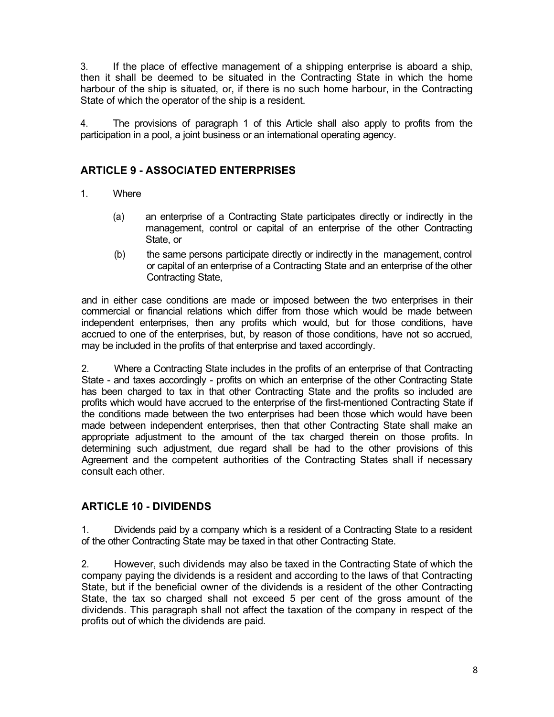3. If the place of effective management of a shipping enterprise is aboard a ship, then it shall be deemed to be situated in the Contracting State in which the home harbour of the ship is situated, or, if there is no such home harbour, in the Contracting State of which the operator of the ship is a resident.

4. The provisions of paragraph 1 of this Article shall also apply to profits from the participation in a pool, a joint business or an international operating agency.

# **ARTICLE 9 - ASSOCIATED ENTERPRISES**

#### 1. Where

- (a) an enterprise of a Contracting State participates directly or indirectly in the management, control or capital of an enterprise of the other Contracting State, or
- (b) the same persons participate directly or indirectly in the management, control or capital of an enterprise of a Contracting State and an enterprise of the other Contracting State,

and in either case conditions are made or imposed between the two enterprises in their commercial or financial relations which differ from those which would be made between independent enterprises, then any profits which would, but for those conditions, have accrued to one of the enterprises, but, by reason of those conditions, have not so accrued, may be included in the profits of that enterprise and taxed accordingly.

2. Where a Contracting State includes in the profits of an enterprise of that Contracting State - and taxes accordingly - profits on which an enterprise of the other Contracting State has been charged to tax in that other Contracting State and the profits so included are profits which would have accrued to the enterprise of the first-mentioned Contracting State if the conditions made between the two enterprises had been those which would have been made between independent enterprises, then that other Contracting State shall make an appropriate adjustment to the amount of the tax charged therein on those profits. In determining such adjustment, due regard shall be had to the other provisions of this Agreement and the competent authorities of the Contracting States shall if necessary consult each other.

# **ARTICLE 10 - DIVIDENDS**

1. Dividends paid by a company which is a resident of a Contracting State to a resident of the other Contracting State may be taxed in that other Contracting State.

2. However, such dividends may also be taxed in the Contracting State of which the company paying the dividends is a resident and according to the laws of that Contracting State, but if the beneficial owner of the dividends is a resident of the other Contracting State, the tax so charged shall not exceed 5 per cent of the gross amount of the dividends. This paragraph shall not affect the taxation of the company in respect of the profits out of which the dividends are paid.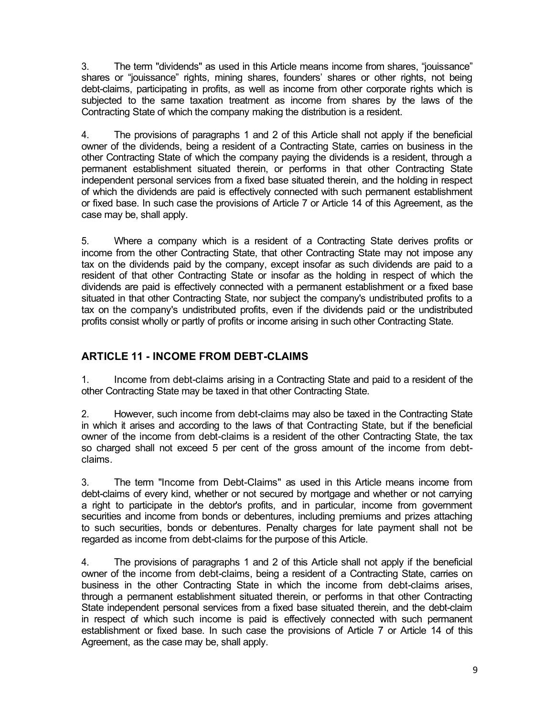3. The term "dividends" as used in this Article means income from shares, "jouissance" shares or "jouissance" rights, mining shares, founders' shares or other rights, not being debt-claims, participating in profits, as well as income from other corporate rights which is subjected to the same taxation treatment as income from shares by the laws of the Contracting State of which the company making the distribution is a resident.

4. The provisions of paragraphs 1 and 2 of this Article shall not apply if the beneficial owner of the dividends, being a resident of a Contracting State, carries on business in the other Contracting State of which the company paying the dividends is a resident, through a permanent establishment situated therein, or performs in that other Contracting State independent personal services from a fixed base situated therein, and the holding in respect of which the dividends are paid is effectively connected with such permanent establishment or fixed base. In such case the provisions of Article 7 or Article 14 of this Agreement, as the case may be, shall apply.

5. Where a company which is a resident of a Contracting State derives profits or income from the other Contracting State, that other Contracting State may not impose any tax on the dividends paid by the company, except insofar as such dividends are paid to a resident of that other Contracting State or insofar as the holding in respect of which the dividends are paid is effectively connected with a permanent establishment or a fixed base situated in that other Contracting State, nor subject the company's undistributed profits to a tax on the company's undistributed profits, even if the dividends paid or the undistributed profits consist wholly or partly of profits or income arising in such other Contracting State.

# **ARTICLE 11 - INCOME FROM DEBT-CLAIMS**

1. Income from debt-claims arising in a Contracting State and paid to a resident of the other Contracting State may be taxed in that other Contracting State.

2. However, such income from debt-claims may also be taxed in the Contracting State in which it arises and according to the laws of that Contracting State, but if the beneficial owner of the income from debt-claims is a resident of the other Contracting State, the tax so charged shall not exceed 5 per cent of the gross amount of the income from debtclaims.

3. The term "Income from Debt-Claims" as used in this Article means income from debt-claims of every kind, whether or not secured by mortgage and whether or not carrying a right to participate in the debtor's profits, and in particular, income from government securities and income from bonds or debentures, including premiums and prizes attaching to such securities, bonds or debentures. Penalty charges for late payment shall not be regarded as income from debt-claims for the purpose of this Article.

4. The provisions of paragraphs 1 and 2 of this Article shall not apply if the beneficial owner of the income from debt-claims, being a resident of a Contracting State, carries on business in the other Contracting State in which the income from debt-claims arises, through a permanent establishment situated therein, or performs in that other Contracting State independent personal services from a fixed base situated therein, and the debt-claim in respect of which such income is paid is effectively connected with such permanent establishment or fixed base. In such case the provisions of Article 7 or Article 14 of this Agreement, as the case may be, shall apply.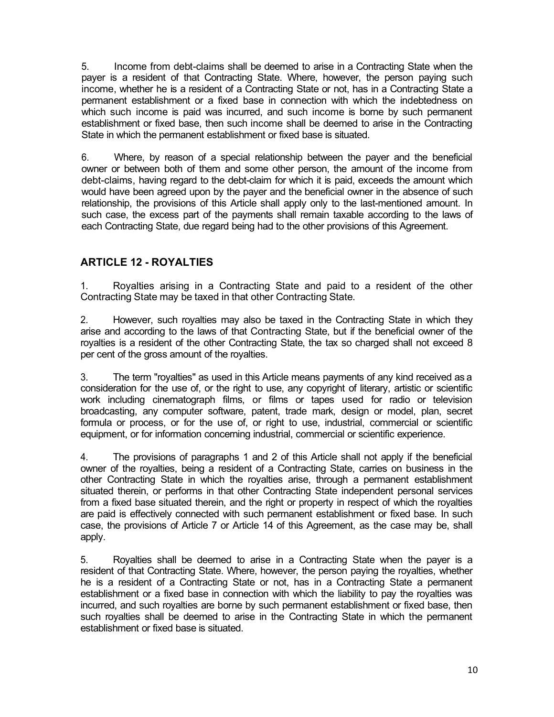5. Income from debt-claims shall be deemed to arise in a Contracting State when the payer is a resident of that Contracting State. Where, however, the person paying such income, whether he is a resident of a Contracting State or not, has in a Contracting State a permanent establishment or a fixed base in connection with which the indebtedness on which such income is paid was incurred, and such income is borne by such permanent establishment or fixed base, then such income shall be deemed to arise in the Contracting State in which the permanent establishment or fixed base is situated.

6. Where, by reason of a special relationship between the payer and the beneficial owner or between both of them and some other person, the amount of the income from debt-claims, having regard to the debt-claim for which it is paid, exceeds the amount which would have been agreed upon by the payer and the beneficial owner in the absence of such relationship, the provisions of this Article shall apply only to the last-mentioned amount. In such case, the excess part of the payments shall remain taxable according to the laws of each Contracting State, due regard being had to the other provisions of this Agreement.

# **ARTICLE 12 - ROYALTIES**

1. Royalties arising in a Contracting State and paid to a resident of the other Contracting State may be taxed in that other Contracting State.

2. However, such royalties may also be taxed in the Contracting State in which they arise and according to the laws of that Contracting State, but if the beneficial owner of the royalties is a resident of the other Contracting State, the tax so charged shall not exceed 8 per cent of the gross amount of the royalties.

3. The term "royalties" as used in this Article means payments of any kind received as a consideration for the use of, or the right to use, any copyright of literary, artistic or scientific work including cinematograph films, or films or tapes used for radio or television broadcasting, any computer software, patent, trade mark, design or model, plan, secret formula or process, or for the use of, or right to use, industrial, commercial or scientific equipment, or for information concerning industrial, commercial or scientific experience.

4. The provisions of paragraphs 1 and 2 of this Article shall not apply if the beneficial owner of the royalties, being a resident of a Contracting State, carries on business in the other Contracting State in which the royalties arise, through a permanent establishment situated therein, or performs in that other Contracting State independent personal services from a fixed base situated therein, and the right or property in respect of which the royalties are paid is effectively connected with such permanent establishment or fixed base. In such case, the provisions of Article 7 or Article 14 of this Agreement, as the case may be, shall apply.

5. Royalties shall be deemed to arise in a Contracting State when the payer is a resident of that Contracting State. Where, however, the person paying the royalties, whether he is a resident of a Contracting State or not, has in a Contracting State a permanent establishment or a fixed base in connection with which the liability to pay the royalties was incurred, and such royalties are borne by such permanent establishment or fixed base, then such royalties shall be deemed to arise in the Contracting State in which the permanent establishment or fixed base is situated.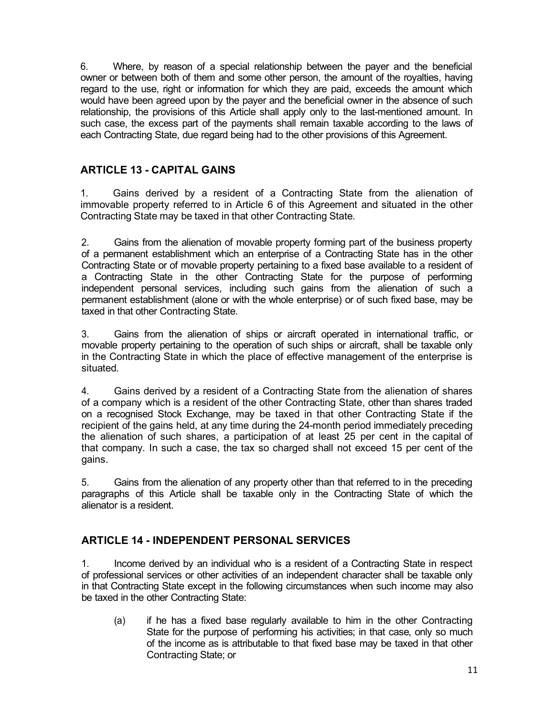6. Where, by reason of a special relationship between the payer and the beneficial owner or between both of them and some other person, the amount of the royalties, having regard to the use, right or information for which they are paid, exceeds the amount which would have been agreed upon by the payer and the beneficial owner in the absence of such relationship, the provisions of this Article shall apply only to the last-mentioned amount. In such case, the excess part of the payments shall remain taxable according to the laws of each Contracting State, due regard being had to the other provisions of this Agreement.

# **ARTICLE 13 - CAPITAL GAINS**

1. Gains derived by a resident of a Contracting State from the alienation of immovable property referred to in Article 6 of this Agreement and situated in the other Contracting State may be taxed in that other Contracting State.

2. Gains from the alienation of movable property forming part of the business property of a permanent establishment which an enterprise of a Contracting State has in the other Contracting State or of movable property pertaining to a fixed base available to a resident of a Contracting State in the other Contracting State for the purpose of performing independent personal services, including such gains from the alienation of such a permanent establishment (alone or with the whole enterprise) or of such fixed base, may be taxed in that other Contracting State.

3. Gains from the alienation of ships or aircraft operated in international traffic, or movable property pertaining to the operation of such ships or aircraft, shall be taxable only in the Contracting State in which the place of effective management of the enterprise is situated.

4. Gains derived by a resident of a Contracting State from the alienation of shares of a company which is a resident of the other Contracting State, other than shares traded on a recognised Stock Exchange, may be taxed in that other Contracting State if the recipient of the gains held, at any time during the 24-month period immediately preceding the alienation of such shares, a participation of at least 25 per cent in the capital of that company. In such a case, the tax so charged shall not exceed 15 per cent of the gains.

5. Gains from the alienation of any property other than that referred to in the preceding paragraphs of this Article shall be taxable only in the Contracting State of which the alienator is a resident.

## **ARTICLE 14 - INDEPENDENT PERSONAL SERVICES**

1. Income derived by an individual who is a resident of a Contracting State in respect of professional services or other activities of an independent character shall be taxable only in that Contracting State except in the following circumstances when such income may also be taxed in the other Contracting State:

(a) if he has a fixed base regularly available to him in the other Contracting State for the purpose of performing his activities; in that case, only so much of the income as is attributable to that fixed base may be taxed in that other Contracting State; or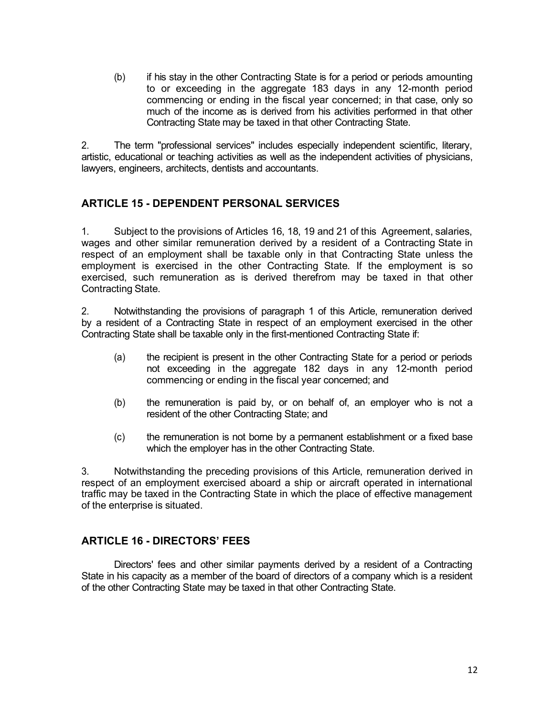(b) if his stay in the other Contracting State is for a period or periods amounting to or exceeding in the aggregate 183 days in any 12-month period commencing or ending in the fiscal year concerned; in that case, only so much of the income as is derived from his activities performed in that other Contracting State may be taxed in that other Contracting State.

2. The term "professional services" includes especially independent scientific, literary, artistic, educational or teaching activities as well as the independent activities of physicians, lawyers, engineers, architects, dentists and accountants.

# **ARTICLE 15 - DEPENDENT PERSONAL SERVICES**

1. Subject to the provisions of Articles 16, 18, 19 and 21 of this Agreement, salaries, wages and other similar remuneration derived by a resident of a Contracting State in respect of an employment shall be taxable only in that Contracting State unless the employment is exercised in the other Contracting State. If the employment is so exercised, such remuneration as is derived therefrom may be taxed in that other Contracting State.

2. Notwithstanding the provisions of paragraph 1 of this Article, remuneration derived by a resident of a Contracting State in respect of an employment exercised in the other Contracting State shall be taxable only in the first-mentioned Contracting State if:

- (a) the recipient is present in the other Contracting State for a period or periods not exceeding in the aggregate 182 days in any 12-month period commencing or ending in the fiscal year concerned; and
- (b) the remuneration is paid by, or on behalf of, an employer who is not a resident of the other Contracting State; and
- (c) the remuneration is not borne by a permanent establishment or a fixed base which the employer has in the other Contracting State.

3. Notwithstanding the preceding provisions of this Article, remuneration derived in respect of an employment exercised aboard a ship or aircraft operated in international traffic may be taxed in the Contracting State in which the place of effective management of the enterprise is situated.

## **ARTICLE 16 - DIRECTORS' FEES**

Directors' fees and other similar payments derived by a resident of a Contracting State in his capacity as a member of the board of directors of a company which is a resident of the other Contracting State may be taxed in that other Contracting State.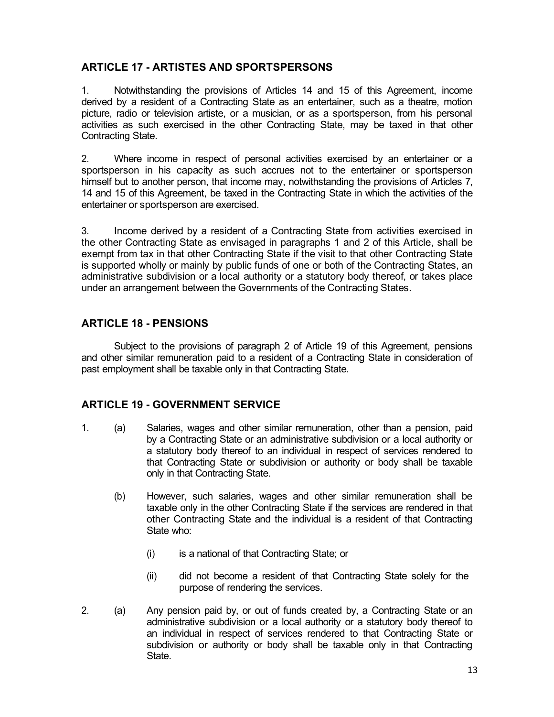## **ARTICLE 17 - ARTISTES AND SPORTSPERSONS**

1. Notwithstanding the provisions of Articles 14 and 15 of this Agreement, income derived by a resident of a Contracting State as an entertainer, such as a theatre, motion picture, radio or television artiste, or a musician, or as a sportsperson, from his personal activities as such exercised in the other Contracting State, may be taxed in that other Contracting State.

2. Where income in respect of personal activities exercised by an entertainer or a sportsperson in his capacity as such accrues not to the entertainer or sportsperson himself but to another person, that income may, notwithstanding the provisions of Articles 7, 14 and 15 of this Agreement, be taxed in the Contracting State in which the activities of the entertainer or sportsperson are exercised.

3. Income derived by a resident of a Contracting State from activities exercised in the other Contracting State as envisaged in paragraphs 1 and 2 of this Article, shall be exempt from tax in that other Contracting State if the visit to that other Contracting State is supported wholly or mainly by public funds of one or both of the Contracting States, an administrative subdivision or a local authority or a statutory body thereof, or takes place under an arrangement between the Governments of the Contracting States.

# **ARTICLE 18 - PENSIONS**

Subject to the provisions of paragraph 2 of Article 19 of this Agreement, pensions and other similar remuneration paid to a resident of a Contracting State in consideration of past employment shall be taxable only in that Contracting State.

## **ARTICLE 19 - GOVERNMENT SERVICE**

- 1. (a) Salaries, wages and other similar remuneration, other than a pension, paid by a Contracting State or an administrative subdivision or a local authority or a statutory body thereof to an individual in respect of services rendered to that Contracting State or subdivision or authority or body shall be taxable only in that Contracting State.
	- (b) However, such salaries, wages and other similar remuneration shall be taxable only in the other Contracting State if the services are rendered in that other Contracting State and the individual is a resident of that Contracting State who:
		- (i) is a national of that Contracting State; or
		- (ii) did not become a resident of that Contracting State solely for the purpose of rendering the services.
- 2. (a) Any pension paid by, or out of funds created by, a Contracting State or an administrative subdivision or a local authority or a statutory body thereof to an individual in respect of services rendered to that Contracting State or subdivision or authority or body shall be taxable only in that Contracting **State**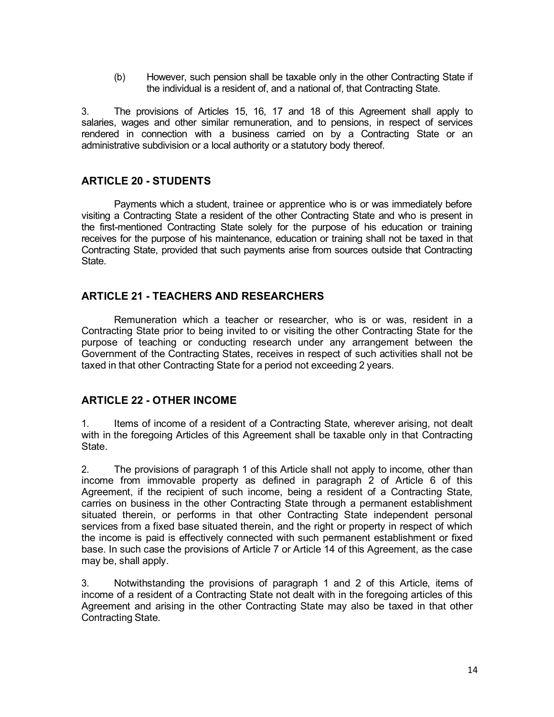(b) However, such pension shall be taxable only in the other Contracting State if the individual is a resident of, and a national of, that Contracting State.

3. The provisions of Articles 15, 16, 17 and 18 of this Agreement shall apply to salaries, wages and other similar remuneration, and to pensions, in respect of services rendered in connection with a business carried on by a Contracting State or an administrative subdivision or a local authority or a statutory body thereof.

#### **ARTICLE 20 - STUDENTS**

Payments which a student, trainee or apprentice who is or was immediately before visiting a Contracting State a resident of the other Contracting State and who is present in the first-mentioned Contracting State solely for the purpose of his education or training receives for the purpose of his maintenance, education or training shall not be taxed in that Contracting State, provided that such payments arise from sources outside that Contracting State.

#### **ARTICLE 21 - TEACHERS AND RESEARCHERS**

Remuneration which a teacher or researcher, who is or was, resident in a Contracting State prior to being invited to or visiting the other Contracting State for the purpose of teaching or conducting research under any arrangement between the Government of the Contracting States, receives in respect of such activities shall not be taxed in that other Contracting State for a period not exceeding 2 years.

#### **ARTICLE 22 - OTHER INCOME**

1. Items of income of a resident of a Contracting State, wherever arising, not dealt with in the foregoing Articles of this Agreement shall be taxable only in that Contracting State.

2. The provisions of paragraph 1 of this Article shall not apply to income, other than income from immovable property as defined in paragraph 2 of Article 6 of this Agreement, if the recipient of such income, being a resident of a Contracting State, carries on business in the other Contracting State through a permanent establishment situated therein, or performs in that other Contracting State independent personal services from a fixed base situated therein, and the right or property in respect of which the income is paid is effectively connected with such permanent establishment or fixed base. In such case the provisions of Article 7 or Article 14 of this Agreement, as the case may be, shall apply.

3. Notwithstanding the provisions of paragraph 1 and 2 of this Article, items of income of a resident of a Contracting State not dealt with in the foregoing articles of this Agreement and arising in the other Contracting State may also be taxed in that other Contracting State.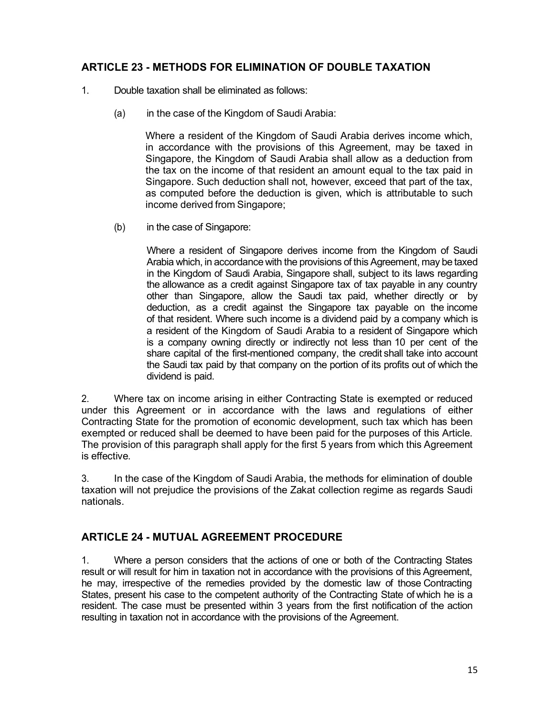# **ARTICLE 23 - METHODS FOR ELIMINATION OF DOUBLE TAXATION**

- 1. Double taxation shall be eliminated as follows:
	- (a) in the case of the Kingdom of Saudi Arabia:

Where a resident of the Kingdom of Saudi Arabia derives income which, in accordance with the provisions of this Agreement, may be taxed in Singapore, the Kingdom of Saudi Arabia shall allow as a deduction from the tax on the income of that resident an amount equal to the tax paid in Singapore. Such deduction shall not, however, exceed that part of the tax, as computed before the deduction is given, which is attributable to such income derived from Singapore;

(b) in the case of Singapore:

Where a resident of Singapore derives income from the Kingdom of Saudi Arabia which, in accordance with the provisions of this Agreement, may be taxed in the Kingdom of Saudi Arabia, Singapore shall, subject to its laws regarding the allowance as a credit against Singapore tax of tax payable in any country other than Singapore, allow the Saudi tax paid, whether directly or by deduction, as a credit against the Singapore tax payable on the income of that resident. Where such income is a dividend paid by a company which is a resident of the Kingdom of Saudi Arabia to a resident of Singapore which is a company owning directly or indirectly not less than 10 per cent of the share capital of the first-mentioned company, the credit shall take into account the Saudi tax paid by that company on the portion of its profits out of which the dividend is paid.

2. Where tax on income arising in either Contracting State is exempted or reduced under this Agreement or in accordance with the laws and regulations of either Contracting State for the promotion of economic development, such tax which has been exempted or reduced shall be deemed to have been paid for the purposes of this Article. The provision of this paragraph shall apply for the first 5 years from which this Agreement is effective.

3. In the case of the Kingdom of Saudi Arabia, the methods for elimination of double taxation will not prejudice the provisions of the Zakat collection regime as regards Saudi nationals.

## **ARTICLE 24 - MUTUAL AGREEMENT PROCEDURE**

1. Where a person considers that the actions of one or both of the Contracting States result or will result for him in taxation not in accordance with the provisions of this Agreement, he may, irrespective of the remedies provided by the domestic law of those Contracting States, present his case to the competent authority of the Contracting State of which he is a resident. The case must be presented within 3 years from the first notification of the action resulting in taxation not in accordance with the provisions of the Agreement.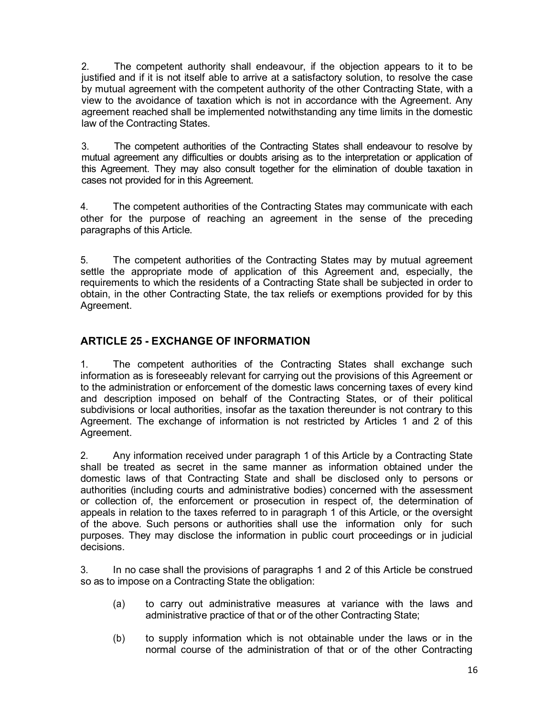2. The competent authority shall endeavour, if the objection appears to it to be justified and if it is not itself able to arrive at a satisfactory solution, to resolve the case by mutual agreement with the competent authority of the other Contracting State, with a view to the avoidance of taxation which is not in accordance with the Agreement. Any agreement reached shall be implemented notwithstanding any time limits in the domestic law of the Contracting States.

3. The competent authorities of the Contracting States shall endeavour to resolve by mutual agreement any difficulties or doubts arising as to the interpretation or application of this Agreement. They may also consult together for the elimination of double taxation in cases not provided for in this Agreement.

4. The competent authorities of the Contracting States may communicate with each other for the purpose of reaching an agreement in the sense of the preceding paragraphs of this Article.

5. The competent authorities of the Contracting States may by mutual agreement settle the appropriate mode of application of this Agreement and, especially, the requirements to which the residents of a Contracting State shall be subjected in order to obtain, in the other Contracting State, the tax reliefs or exemptions provided for by this Agreement.

# **ARTICLE 25 - EXCHANGE OF INFORMATION**

1. The competent authorities of the Contracting States shall exchange such information as is foreseeably relevant for carrying out the provisions of this Agreement or to the administration or enforcement of the domestic laws concerning taxes of every kind and description imposed on behalf of the Contracting States, or of their political subdivisions or local authorities, insofar as the taxation thereunder is not contrary to this Agreement. The exchange of information is not restricted by Articles 1 and 2 of this Agreement.

2. Any information received under paragraph 1 of this Article by a Contracting State shall be treated as secret in the same manner as information obtained under the domestic laws of that Contracting State and shall be disclosed only to persons or authorities (including courts and administrative bodies) concerned with the assessment or collection of, the enforcement or prosecution in respect of, the determination of appeals in relation to the taxes referred to in paragraph 1 of this Article, or the oversight of the above. Such persons or authorities shall use the information only for such purposes. They may disclose the information in public court proceedings or in judicial decisions.

3. In no case shall the provisions of paragraphs 1 and 2 of this Article be construed so as to impose on a Contracting State the obligation:

- (a) to carry out administrative measures at variance with the laws and administrative practice of that or of the other Contracting State;
- (b) to supply information which is not obtainable under the laws or in the normal course of the administration of that or of the other Contracting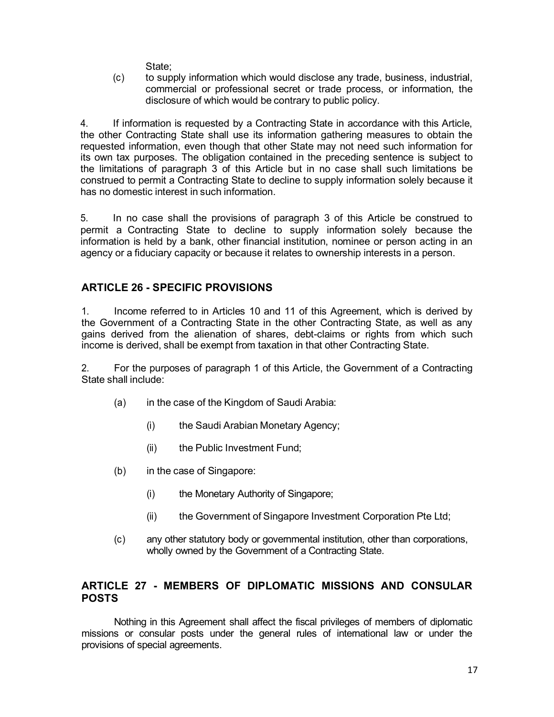State;

(c) to supply information which would disclose any trade, business, industrial, commercial or professional secret or trade process, or information, the disclosure of which would be contrary to public policy.

4. If information is requested by a Contracting State in accordance with this Article, the other Contracting State shall use its information gathering measures to obtain the requested information, even though that other State may not need such information for its own tax purposes. The obligation contained in the preceding sentence is subject to the limitations of paragraph 3 of this Article but in no case shall such limitations be construed to permit a Contracting State to decline to supply information solely because it has no domestic interest in such information.

5. In no case shall the provisions of paragraph 3 of this Article be construed to permit a Contracting State to decline to supply information solely because the information is held by a bank, other financial institution, nominee or person acting in an agency or a fiduciary capacity or because it relates to ownership interests in a person.

# **ARTICLE 26 - SPECIFIC PROVISIONS**

1. Income referred to in Articles 10 and 11 of this Agreement, which is derived by the Government of a Contracting State in the other Contracting State, as well as any gains derived from the alienation of shares, debt-claims or rights from which such income is derived, shall be exempt from taxation in that other Contracting State.

2. For the purposes of paragraph 1 of this Article, the Government of a Contracting State shall include:

- (a) in the case of the Kingdom of Saudi Arabia:
	- (i) the Saudi Arabian Monetary Agency;
	- (ii) the Public Investment Fund;
- (b) in the case of Singapore:
	- (i) the Monetary Authority of Singapore;
	- (ii) the Government of Singapore Investment Corporation Pte Ltd;
- (c) any other statutory body or governmental institution, other than corporations, wholly owned by the Government of a Contracting State.

# **ARTICLE 27 - MEMBERS OF DIPLOMATIC MISSIONS AND CONSULAR POSTS**

Nothing in this Agreement shall affect the fiscal privileges of members of diplomatic missions or consular posts under the general rules of international law or under the provisions of special agreements.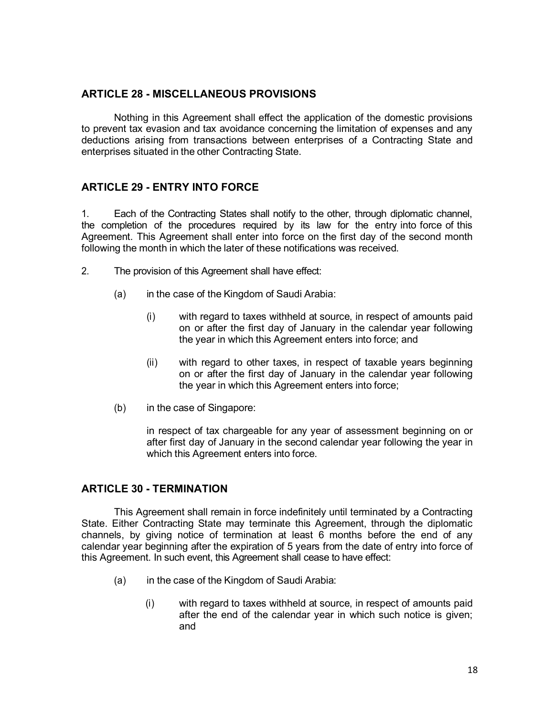## **ARTICLE 28 - MISCELLANEOUS PROVISIONS**

Nothing in this Agreement shall effect the application of the domestic provisions to prevent tax evasion and tax avoidance concerning the limitation of expenses and any deductions arising from transactions between enterprises of a Contracting State and enterprises situated in the other Contracting State.

# **ARTICLE 29 - ENTRY INTO FORCE**

1. Each of the Contracting States shall notify to the other, through diplomatic channel, the completion of the procedures required by its law for the entry into force of this Agreement. This Agreement shall enter into force on the first day of the second month following the month in which the later of these notifications was received.

- 2. The provision of this Agreement shall have effect:
	- (a) in the case of the Kingdom of Saudi Arabia:
		- (i) with regard to taxes withheld at source, in respect of amounts paid on or after the first day of January in the calendar year following the year in which this Agreement enters into force; and
		- (ii) with regard to other taxes, in respect of taxable years beginning on or after the first day of January in the calendar year following the year in which this Agreement enters into force;
	- (b) in the case of Singapore:

in respect of tax chargeable for any year of assessment beginning on or after first day of January in the second calendar year following the year in which this Agreement enters into force.

#### **ARTICLE 30 - TERMINATION**

This Agreement shall remain in force indefinitely until terminated by a Contracting State. Either Contracting State may terminate this Agreement, through the diplomatic channels, by giving notice of termination at least 6 months before the end of any calendar year beginning after the expiration of 5 years from the date of entry into force of this Agreement. In such event, this Agreement shall cease to have effect:

- (a) in the case of the Kingdom of Saudi Arabia:
	- (i) with regard to taxes withheld at source, in respect of amounts paid after the end of the calendar year in which such notice is given; and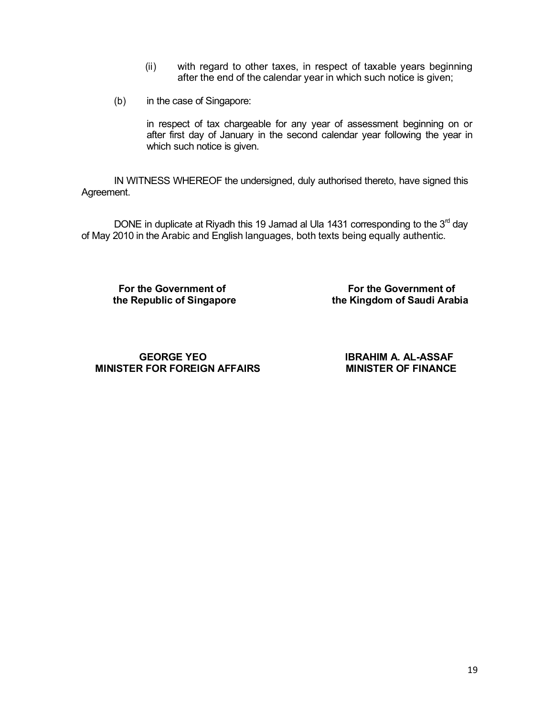- (ii) with regard to other taxes, in respect of taxable years beginning after the end of the calendar year in which such notice is given;
- (b) in the case of Singapore:

in respect of tax chargeable for any year of assessment beginning on or after first day of January in the second calendar year following the year in which such notice is given.

IN WITNESS WHEREOF the undersigned, duly authorised thereto, have signed this Agreement.

DONE in duplicate at Riyadh this 19 Jamad al Ula 1431 corresponding to the 3<sup>rd</sup> day of May 2010 in the Arabic and English languages, both texts being equally authentic.

For the Government of<br> **For the Government of<br>
the Kingdom of Saudi Arab**<br> **For the Government of** the Kingdom of Saudi Arabia

#### **GEORGE YEO IBRAHIM A. AL-ASSAF MINISTER FOR FOREIGN AFFAIRS MINISTER OF FINANCE**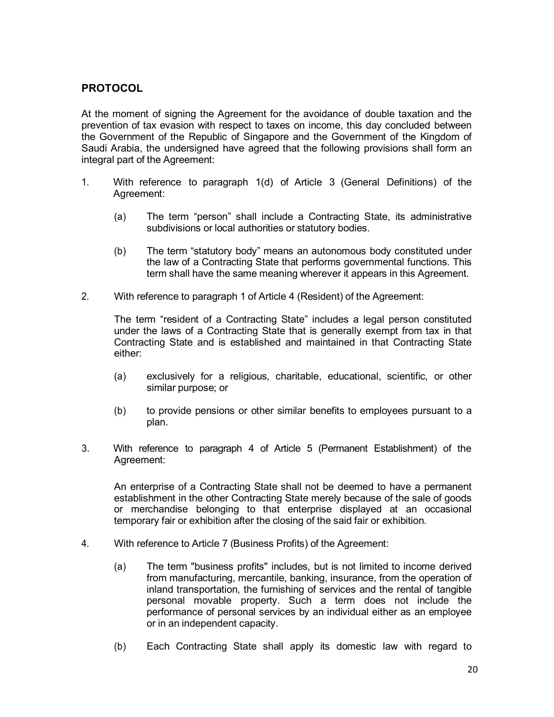# **PROTOCOL**

At the moment of signing the Agreement for the avoidance of double taxation and the prevention of tax evasion with respect to taxes on income, this day concluded between the Government of the Republic of Singapore and the Government of the Kingdom of Saudi Arabia, the undersigned have agreed that the following provisions shall form an integral part of the Agreement:

- 1. With reference to paragraph 1(d) of Article 3 (General Definitions) of the Agreement:
	- (a) The term "person" shall include a Contracting State, its administrative subdivisions or local authorities or statutory bodies.
	- (b) The term "statutory body" means an autonomous body constituted under the law of a Contracting State that performs governmental functions. This term shall have the same meaning wherever it appears in this Agreement.
- 2. With reference to paragraph 1 of Article 4 (Resident) of the Agreement:

The term "resident of a Contracting State" includes a legal person constituted under the laws of a Contracting State that is generally exempt from tax in that Contracting State and is established and maintained in that Contracting State either:

- (a) exclusively for a religious, charitable, educational, scientific, or other similar purpose; or
- (b) to provide pensions or other similar benefits to employees pursuant to a plan.
- 3. With reference to paragraph 4 of Article 5 (Permanent Establishment) of the Agreement:

An enterprise of a Contracting State shall not be deemed to have a permanent establishment in the other Contracting State merely because of the sale of goods or merchandise belonging to that enterprise displayed at an occasional temporary fair or exhibition after the closing of the said fair or exhibition.

- 4. With reference to Article 7 (Business Profits) of the Agreement:
	- (a) The term "business profits" includes, but is not limited to income derived from manufacturing, mercantile, banking, insurance, from the operation of inland transportation, the furnishing of services and the rental of tangible personal movable property. Such a term does not include the performance of personal services by an individual either as an employee or in an independent capacity.
	- (b) Each Contracting State shall apply its domestic law with regard to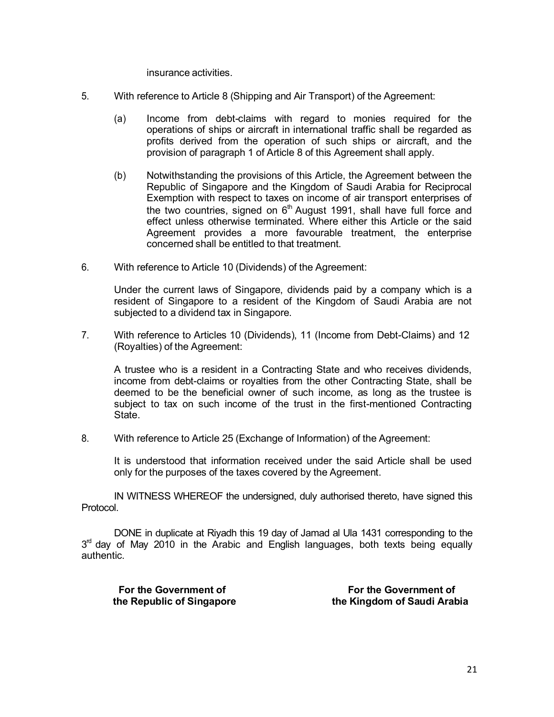insurance activities.

- 5. With reference to Article 8 (Shipping and Air Transport) of the Agreement:
	- (a) Income from debt-claims with regard to monies required for the operations of ships or aircraft in international traffic shall be regarded as profits derived from the operation of such ships or aircraft, and the provision of paragraph 1 of Article 8 of this Agreement shall apply.
	- (b) Notwithstanding the provisions of this Article, the Agreement between the Republic of Singapore and the Kingdom of Saudi Arabia for Reciprocal Exemption with respect to taxes on income of air transport enterprises of the two countries, signed on  $6<sup>th</sup>$  August 1991, shall have full force and effect unless otherwise terminated. Where either this Article or the said Agreement provides a more favourable treatment, the enterprise concerned shall be entitled to that treatment.
- 6. With reference to Article 10 (Dividends) of the Agreement:

Under the current laws of Singapore, dividends paid by a company which is a resident of Singapore to a resident of the Kingdom of Saudi Arabia are not subjected to a dividend tax in Singapore.

7. With reference to Articles 10 (Dividends), 11 (Income from Debt-Claims) and 12 (Royalties) of the Agreement:

A trustee who is a resident in a Contracting State and who receives dividends, income from debt-claims or royalties from the other Contracting State, shall be deemed to be the beneficial owner of such income, as long as the trustee is subject to tax on such income of the trust in the first-mentioned Contracting State.

8. With reference to Article 25 (Exchange of Information) of the Agreement:

It is understood that information received under the said Article shall be used only for the purposes of the taxes covered by the Agreement.

IN WITNESS WHEREOF the undersigned, duly authorised thereto, have signed this Protocol.

DONE in duplicate at Riyadh this 19 day of Jamad al Ula 1431 corresponding to the  $3<sup>rd</sup>$  day of May 2010 in the Arabic and English languages, both texts being equally authentic.

For the Government of **For the Government of the Republic of Singapore the Kingdom of Saudi Arabia**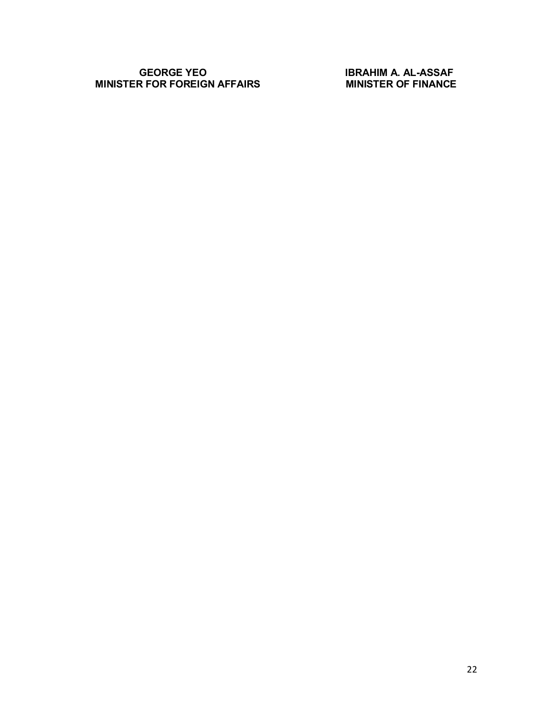## **GEORGE YEO** IBRAHIM A. AL-ASSAF<br>R FOR FOREIGN AFFAIRS MINISTER OF FINANCE **MINISTER FOR FOREIGN AFFAIRS**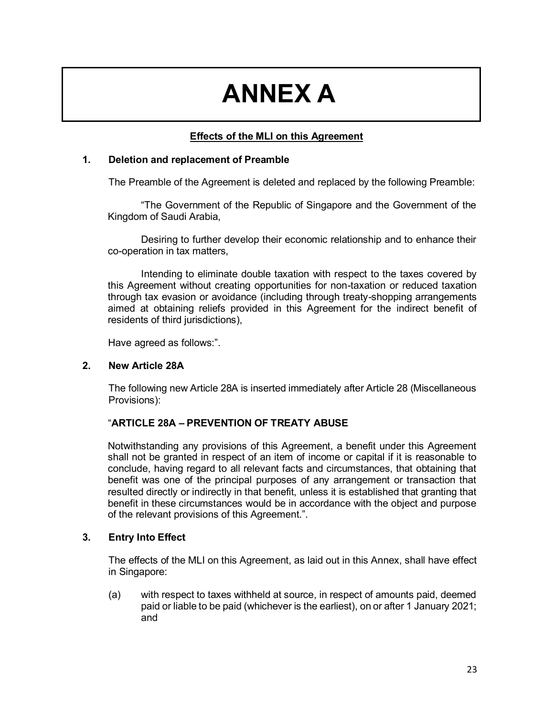# **ANNEX A**

## **Effects of the MLI on this Agreement**

#### **1. Deletion and replacement of Preamble**

The Preamble of the Agreement is deleted and replaced by the following Preamble:

"The Government of the Republic of Singapore and the Government of the Kingdom of Saudi Arabia,

Desiring to further develop their economic relationship and to enhance their co-operation in tax matters,

Intending to eliminate double taxation with respect to the taxes covered by this Agreement without creating opportunities for non-taxation or reduced taxation through tax evasion or avoidance (including through treaty-shopping arrangements aimed at obtaining reliefs provided in this Agreement for the indirect benefit of residents of third jurisdictions).

Have agreed as follows:".

#### **2. New Article 28A**

The following new Article 28A is inserted immediately after Article 28 (Miscellaneous Provisions):

#### "**ARTICLE 28A – PREVENTION OF TREATY ABUSE**

Notwithstanding any provisions of this Agreement, a benefit under this Agreement shall not be granted in respect of an item of income or capital if it is reasonable to conclude, having regard to all relevant facts and circumstances, that obtaining that benefit was one of the principal purposes of any arrangement or transaction that resulted directly or indirectly in that benefit, unless it is established that granting that benefit in these circumstances would be in accordance with the object and purpose of the relevant provisions of this Agreement.".

#### **3. Entry Into Effect**

The effects of the MLI on this Agreement, as laid out in this Annex, shall have effect in Singapore:

(a) with respect to taxes withheld at source, in respect of amounts paid, deemed paid or liable to be paid (whichever is the earliest), on or after 1 January 2021; and